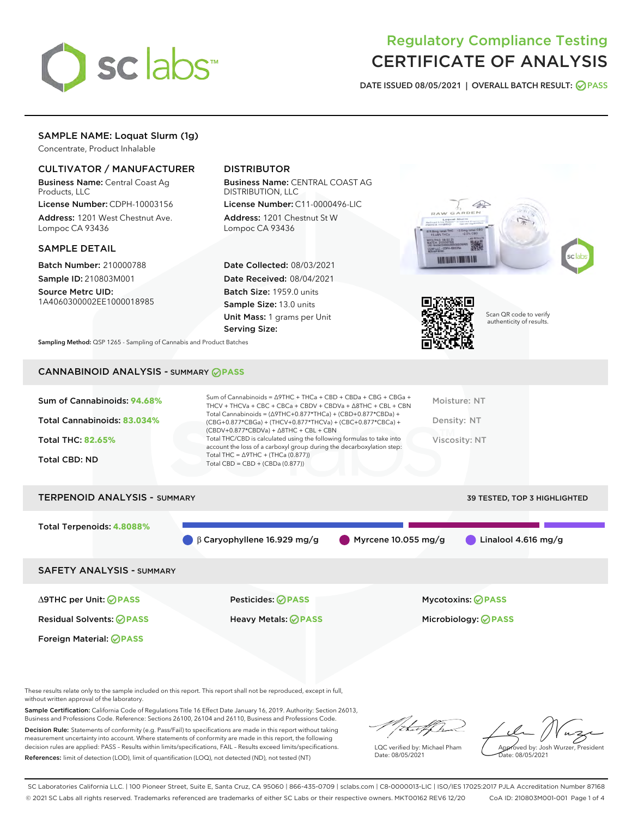

## Regulatory Compliance Testing CERTIFICATE OF ANALYSIS

DATE ISSUED 08/05/2021 | OVERALL BATCH RESULT: @ PASS

## SAMPLE NAME: Loquat Slurm (1g)

Concentrate, Product Inhalable

## CULTIVATOR / MANUFACTURER

Business Name: Central Coast Ag Products, LLC

License Number: CDPH-10003156 Address: 1201 West Chestnut Ave. Lompoc CA 93436

#### SAMPLE DETAIL

Batch Number: 210000788 Sample ID: 210803M001

Source Metrc UID: 1A4060300002EE1000018985

## DISTRIBUTOR

Business Name: CENTRAL COAST AG DISTRIBUTION, LLC License Number: C11-0000496-LIC

Address: 1201 Chestnut St W Lompoc CA 93436

Date Collected: 08/03/2021 Date Received: 08/04/2021 Batch Size: 1959.0 units Sample Size: 13.0 units Unit Mass: 1 grams per Unit Serving Size:





Scan QR code to verify authenticity of results.

Sampling Method: QSP 1265 - Sampling of Cannabis and Product Batches

## CANNABINOID ANALYSIS - SUMMARY **PASS**

| Sum of Cannabinoids: 94.68% | Sum of Cannabinoids = $\triangle$ 9THC + THCa + CBD + CBDa + CBG + CBGa +<br>THCV + THCVa + CBC + CBCa + CBDV + CBDVa + $\Delta$ 8THC + CBL + CBN                                      | Moisture: NT  |
|-----------------------------|----------------------------------------------------------------------------------------------------------------------------------------------------------------------------------------|---------------|
| Total Cannabinoids: 83.034% | Total Cannabinoids = $(\Delta 9THC + 0.877*THCa) + (CBD+0.877*CBDa) +$<br>(CBG+0.877*CBGa) + (THCV+0.877*THCVa) + (CBC+0.877*CBCa) +<br>$(CBDV+0.877*CBDVa) + \Delta 8THC + CBL + CBN$ | Density: NT   |
| <b>Total THC: 82.65%</b>    | Total THC/CBD is calculated using the following formulas to take into<br>account the loss of a carboxyl group during the decarboxylation step:                                         | Viscosity: NT |
| Total CBD: ND               | Total THC = $\triangle$ 9THC + (THCa (0.877))<br>Total CBD = $CBD + (CBDa (0.877))$                                                                                                    |               |
|                             |                                                                                                                                                                                        |               |

# TERPENOID ANALYSIS - SUMMARY 39 TESTED, TOP 3 HIGHLIGHTED Total Terpenoids: **4.8088%** β Caryophyllene 16.929 mg/g Myrcene 10.055 mg/g Linalool 4.616 mg/g SAFETY ANALYSIS - SUMMARY

∆9THC per Unit: **PASS** Pesticides: **PASS** Mycotoxins: **PASS**

Foreign Material: **PASS**

Residual Solvents: **PASS** Heavy Metals: **PASS** Microbiology: **PASS**

These results relate only to the sample included on this report. This report shall not be reproduced, except in full, without written approval of the laboratory.

Sample Certification: California Code of Regulations Title 16 Effect Date January 16, 2019. Authority: Section 26013, Business and Professions Code. Reference: Sections 26100, 26104 and 26110, Business and Professions Code.

Decision Rule: Statements of conformity (e.g. Pass/Fail) to specifications are made in this report without taking measurement uncertainty into account. Where statements of conformity are made in this report, the following decision rules are applied: PASS – Results within limits/specifications, FAIL – Results exceed limits/specifications. References: limit of detection (LOD), limit of quantification (LOQ), not detected (ND), not tested (NT)

LQC verified by: Michael Pham Date: 08/05/2021

Approved by: Josh Wurzer, President ate: 08/05/2021

SC Laboratories California LLC. | 100 Pioneer Street, Suite E, Santa Cruz, CA 95060 | 866-435-0709 | sclabs.com | C8-0000013-LIC | ISO/IES 17025:2017 PJLA Accreditation Number 87168 © 2021 SC Labs all rights reserved. Trademarks referenced are trademarks of either SC Labs or their respective owners. MKT00162 REV6 12/20 CoA ID: 210803M001-001 Page 1 of 4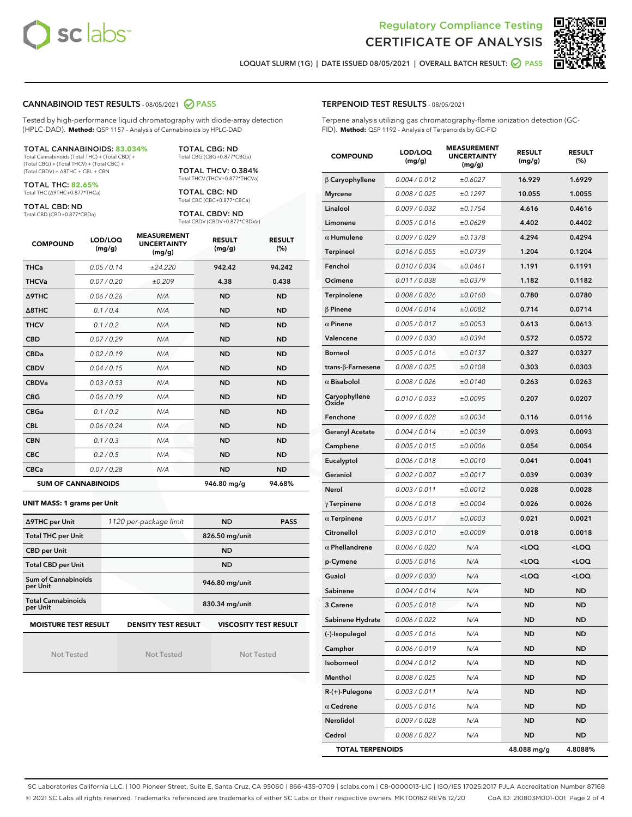



LOQUAT SLURM (1G) | DATE ISSUED 08/05/2021 | OVERALL BATCH RESULT: @ PASS

#### CANNABINOID TEST RESULTS - 08/05/2021 2 PASS

Tested by high-performance liquid chromatography with diode-array detection (HPLC-DAD). **Method:** QSP 1157 - Analysis of Cannabinoids by HPLC-DAD

#### TOTAL CANNABINOIDS: **83.034%**

Total Cannabinoids (Total THC) + (Total CBD) + (Total CBG) + (Total THCV) + (Total CBC) + (Total CBDV) + ∆8THC + CBL + CBN

TOTAL THC: **82.65%** Total THC (∆9THC+0.877\*THCa)

TOTAL CBD: ND

Total CBD (CBD+0.877\*CBDa)

TOTAL CBG: ND Total CBG (CBG+0.877\*CBGa)

TOTAL THCV: 0.384% Total THCV (THCV+0.877\*THCVa)

TOTAL CBC: ND Total CBC (CBC+0.877\*CBCa)

TOTAL CBDV: ND Total CBDV (CBDV+0.877\*CBDVa)

| <b>COMPOUND</b>  | LOD/LOQ<br>(mg/g)          | <b>MEASUREMENT</b><br><b>UNCERTAINTY</b><br>(mg/g) | <b>RESULT</b><br>(mg/g) | <b>RESULT</b><br>(%) |
|------------------|----------------------------|----------------------------------------------------|-------------------------|----------------------|
| <b>THCa</b>      | 0.05 / 0.14                | ±24.220                                            | 942.42                  | 94.242               |
| <b>THCVa</b>     | 0.07 / 0.20                | ±0.209                                             | 4.38                    | 0.438                |
| <b>A9THC</b>     | 0.06 / 0.26                | N/A                                                | <b>ND</b>               | <b>ND</b>            |
| $\triangle$ 8THC | 0.1/0.4                    | N/A                                                | <b>ND</b>               | <b>ND</b>            |
| <b>THCV</b>      | 0.1/0.2                    | N/A                                                | <b>ND</b>               | <b>ND</b>            |
| <b>CBD</b>       | 0.07/0.29                  | N/A                                                | <b>ND</b>               | <b>ND</b>            |
| <b>CBDa</b>      | 0.02/0.19                  | N/A                                                | <b>ND</b>               | <b>ND</b>            |
| <b>CBDV</b>      | 0.04/0.15                  | N/A                                                | <b>ND</b>               | <b>ND</b>            |
| <b>CBDVa</b>     | 0.03/0.53                  | N/A                                                | <b>ND</b>               | <b>ND</b>            |
| <b>CBG</b>       | 0.06/0.19                  | N/A                                                | <b>ND</b>               | <b>ND</b>            |
| <b>CBGa</b>      | 0.1/0.2                    | N/A                                                | <b>ND</b>               | <b>ND</b>            |
| <b>CBL</b>       | 0.06 / 0.24                | N/A                                                | <b>ND</b>               | <b>ND</b>            |
| <b>CBN</b>       | 0.1/0.3                    | N/A                                                | <b>ND</b>               | <b>ND</b>            |
| <b>CBC</b>       | 0.2 / 0.5                  | N/A                                                | <b>ND</b>               | <b>ND</b>            |
| <b>CBCa</b>      | 0.07/0.28                  | N/A                                                | <b>ND</b>               | <b>ND</b>            |
|                  | <b>SUM OF CANNABINOIDS</b> |                                                    | 946.80 mg/g             | 94.68%               |

#### **UNIT MASS: 1 grams per Unit**

| ∆9THC per Unit                        | 1120 per-package limit     | <b>ND</b>                    | <b>PASS</b> |
|---------------------------------------|----------------------------|------------------------------|-------------|
| <b>Total THC per Unit</b>             |                            | 826.50 mg/unit               |             |
| <b>CBD per Unit</b>                   |                            | <b>ND</b>                    |             |
| <b>Total CBD per Unit</b>             |                            | <b>ND</b>                    |             |
| Sum of Cannabinoids<br>per Unit       |                            | 946.80 mg/unit               |             |
| <b>Total Cannabinoids</b><br>per Unit |                            | 830.34 mg/unit               |             |
| <b>MOISTURE TEST RESULT</b>           | <b>DENSITY TEST RESULT</b> | <b>VISCOSITY TEST RESULT</b> |             |

Not Tested

**MOISTURE TEST RESULT**

Not Tested

Not Tested

#### TERPENOID TEST RESULTS - 08/05/2021

Terpene analysis utilizing gas chromatography-flame ionization detection (GC-FID). **Method:** QSP 1192 - Analysis of Terpenoids by GC-FID

| <b>COMPOUND</b>         | LOD/LOQ<br>(mg/g) | <b>MEASUREMENT</b><br><b>UNCERTAINTY</b><br>(mg/g) | <b>RESULT</b><br>(mg/g)                         | <b>RESULT</b><br>(%) |
|-------------------------|-------------------|----------------------------------------------------|-------------------------------------------------|----------------------|
| $\beta$ Caryophyllene   | 0.004 / 0.012     | ±0.6027                                            | 16.929                                          | 1.6929               |
| <b>Myrcene</b>          | 0.008 / 0.025     | ±0.1297                                            | 10.055                                          | 1.0055               |
| Linalool                | 0.009 / 0.032     | ±0.1754                                            | 4.616                                           | 0.4616               |
| Limonene                | 0.005 / 0.016     | ±0.0629                                            | 4.402                                           | 0.4402               |
| $\alpha$ Humulene       | 0.009/0.029       | ±0.1378                                            | 4.294                                           | 0.4294               |
| <b>Terpineol</b>        | 0.016 / 0.055     | ±0.0739                                            | 1.204                                           | 0.1204               |
| Fenchol                 | 0.010 / 0.034     | ±0.0461                                            | 1.191                                           | 0.1191               |
| Ocimene                 | 0.011 / 0.038     | ±0.0379                                            | 1.182                                           | 0.1182               |
| Terpinolene             | 0.008 / 0.026     | ±0.0160                                            | 0.780                                           | 0.0780               |
| $\beta$ Pinene          | 0.004 / 0.014     | ±0.0082                                            | 0.714                                           | 0.0714               |
| $\alpha$ Pinene         | 0.005 / 0.017     | ±0.0053                                            | 0.613                                           | 0.0613               |
| Valencene               | 0.009 / 0.030     | ±0.0394                                            | 0.572                                           | 0.0572               |
| <b>Borneol</b>          | 0.005 / 0.016     | ±0.0137                                            | 0.327                                           | 0.0327               |
| trans-ß-Farnesene       | 0.008 / 0.025     | ±0.0108                                            | 0.303                                           | 0.0303               |
| $\alpha$ Bisabolol      | 0.008 / 0.026     | ±0.0140                                            | 0.263                                           | 0.0263               |
| Caryophyllene<br>Oxide  | 0.010 / 0.033     | ±0.0095                                            | 0.207                                           | 0.0207               |
| Fenchone                | 0.009 / 0.028     | ±0.0034                                            | 0.116                                           | 0.0116               |
| <b>Geranyl Acetate</b>  | 0.004 / 0.014     | ±0.0039                                            | 0.093                                           | 0.0093               |
| Camphene                | 0.005 / 0.015     | ±0.0006                                            | 0.054                                           | 0.0054               |
| Eucalyptol              | 0.006 / 0.018     | ±0.0010                                            | 0.041                                           | 0.0041               |
| Geraniol                | 0.002 / 0.007     | ±0.0017                                            | 0.039                                           | 0.0039               |
| Nerol                   | 0.003 / 0.011     | ±0.0012                                            | 0.028                                           | 0.0028               |
| $\gamma$ Terpinene      | 0.006 / 0.018     | ±0.0004                                            | 0.026                                           | 0.0026               |
| $\alpha$ Terpinene      | 0.005 / 0.017     | ±0.0003                                            | 0.021                                           | 0.0021               |
| Citronellol             | 0.003 / 0.010     | ±0.0009                                            | 0.018                                           | 0.0018               |
| $\alpha$ Phellandrene   | 0.006 / 0.020     | N/A                                                | <loq< th=""><th><loq< th=""></loq<></th></loq<> | <loq< th=""></loq<>  |
| p-Cymene                | 0.005 / 0.016     | N/A                                                | <loq< th=""><th><loq< th=""></loq<></th></loq<> | <loq< th=""></loq<>  |
| Guaiol                  | 0.009 / 0.030     | N/A                                                | <loq< th=""><th><loq< th=""></loq<></th></loq<> | <loq< th=""></loq<>  |
| Sabinene                | 0.004 / 0.014     | N/A                                                | ND                                              | <b>ND</b>            |
| <b>3 Carene</b>         | 0.005 / 0.018     | N/A                                                | <b>ND</b>                                       | <b>ND</b>            |
| Sabinene Hydrate        | 0.006 / 0.022     | N/A                                                | ND                                              | <b>ND</b>            |
| (-)-Isopulegol          | 0.005 / 0.016     | N/A                                                | ND                                              | ND                   |
| Camphor                 | 0.006 / 0.019     | N/A                                                | ND                                              | <b>ND</b>            |
| Isoborneol              | 0.004 / 0.012     | N/A                                                | ND                                              | <b>ND</b>            |
| Menthol                 | 0.008 / 0.025     | N/A                                                | ND                                              | ND                   |
| R-(+)-Pulegone          | 0.003 / 0.011     | N/A                                                | ND                                              | ND                   |
| $\alpha$ Cedrene        | 0.005 / 0.016     | N/A                                                | ND                                              | <b>ND</b>            |
| Nerolidol               | 0.009 / 0.028     | N/A                                                | ND                                              | ND                   |
| Cedrol                  | 0.008 / 0.027     | N/A                                                | ND                                              | ND                   |
| <b>TOTAL TERPENOIDS</b> |                   |                                                    | 48.088 mg/g                                     | 4.8088%              |

SC Laboratories California LLC. | 100 Pioneer Street, Suite E, Santa Cruz, CA 95060 | 866-435-0709 | sclabs.com | C8-0000013-LIC | ISO/IES 17025:2017 PJLA Accreditation Number 87168 © 2021 SC Labs all rights reserved. Trademarks referenced are trademarks of either SC Labs or their respective owners. MKT00162 REV6 12/20 CoA ID: 210803M001-001 Page 2 of 4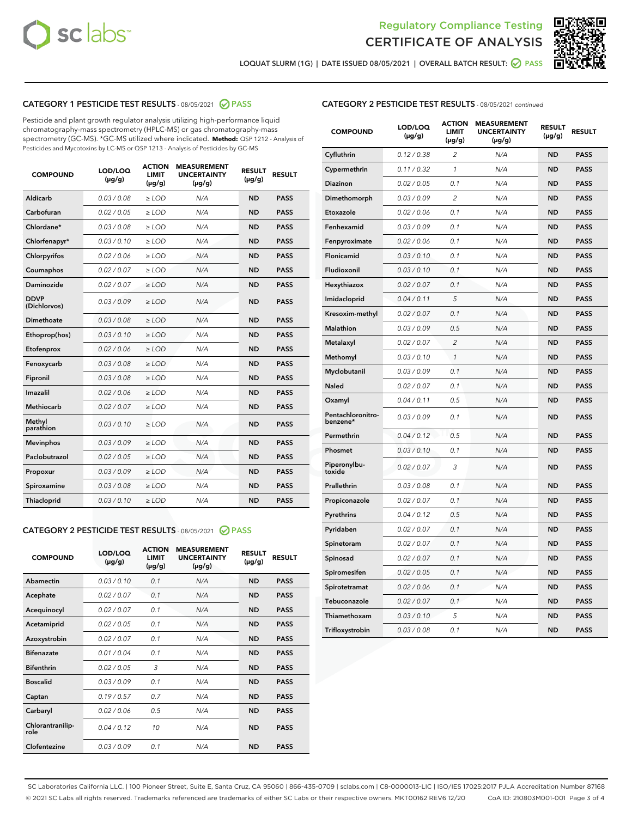



LOQUAT SLURM (1G) | DATE ISSUED 08/05/2021 | OVERALL BATCH RESULT: 2 PASS

## CATEGORY 1 PESTICIDE TEST RESULTS - 08/05/2021 2 PASS

Pesticide and plant growth regulator analysis utilizing high-performance liquid chromatography-mass spectrometry (HPLC-MS) or gas chromatography-mass spectrometry (GC-MS). \*GC-MS utilized where indicated. **Method:** QSP 1212 - Analysis of Pesticides and Mycotoxins by LC-MS or QSP 1213 - Analysis of Pesticides by GC-MS

| <b>COMPOUND</b>             | LOD/LOQ<br>$(\mu g/g)$ | <b>ACTION</b><br><b>LIMIT</b><br>$(\mu g/g)$ | <b>MEASUREMENT</b><br><b>UNCERTAINTY</b><br>$(\mu g/g)$ | <b>RESULT</b><br>$(\mu g/g)$ | <b>RESULT</b> |
|-----------------------------|------------------------|----------------------------------------------|---------------------------------------------------------|------------------------------|---------------|
| Aldicarb                    | 0.03 / 0.08            | $\ge$ LOD                                    | N/A                                                     | <b>ND</b>                    | <b>PASS</b>   |
| Carbofuran                  | 0.02/0.05              | $\geq$ LOD                                   | N/A                                                     | <b>ND</b>                    | <b>PASS</b>   |
| Chlordane*                  | 0.03 / 0.08            | $>$ LOD                                      | N/A                                                     | <b>ND</b>                    | <b>PASS</b>   |
| Chlorfenapyr*               | 0.03/0.10              | $>$ LOD                                      | N/A                                                     | <b>ND</b>                    | <b>PASS</b>   |
| Chlorpyrifos                | 0.02 / 0.06            | $\geq$ LOD                                   | N/A                                                     | <b>ND</b>                    | <b>PASS</b>   |
| Coumaphos                   | 0.02 / 0.07            | $\ge$ LOD                                    | N/A                                                     | <b>ND</b>                    | <b>PASS</b>   |
| Daminozide                  | 0.02 / 0.07            | $\ge$ LOD                                    | N/A                                                     | <b>ND</b>                    | <b>PASS</b>   |
| <b>DDVP</b><br>(Dichlorvos) | 0.03/0.09              | $\ge$ LOD                                    | N/A                                                     | <b>ND</b>                    | <b>PASS</b>   |
| Dimethoate                  | 0.03 / 0.08            | $\ge$ LOD                                    | N/A                                                     | <b>ND</b>                    | <b>PASS</b>   |
| Ethoprop(hos)               | 0.03/0.10              | $>$ LOD                                      | N/A                                                     | <b>ND</b>                    | <b>PASS</b>   |
| Etofenprox                  | 0.02 / 0.06            | $\ge$ LOD                                    | N/A                                                     | <b>ND</b>                    | <b>PASS</b>   |
| Fenoxycarb                  | 0.03/0.08              | $\ge$ LOD                                    | N/A                                                     | <b>ND</b>                    | <b>PASS</b>   |
| Fipronil                    | 0.03 / 0.08            | $\ge$ LOD                                    | N/A                                                     | <b>ND</b>                    | <b>PASS</b>   |
| Imazalil                    | 0.02 / 0.06            | $>$ LOD                                      | N/A                                                     | <b>ND</b>                    | <b>PASS</b>   |
| Methiocarb                  | 0.02 / 0.07            | $\ge$ LOD                                    | N/A                                                     | <b>ND</b>                    | <b>PASS</b>   |
| Methyl<br>parathion         | 0.03/0.10              | $\ge$ LOD                                    | N/A                                                     | <b>ND</b>                    | <b>PASS</b>   |
| <b>Mevinphos</b>            | 0.03/0.09              | $\ge$ LOD                                    | N/A                                                     | <b>ND</b>                    | <b>PASS</b>   |
| Paclobutrazol               | 0.02 / 0.05            | $\ge$ LOD                                    | N/A                                                     | <b>ND</b>                    | <b>PASS</b>   |
| Propoxur                    | 0.03/0.09              | $\ge$ LOD                                    | N/A                                                     | <b>ND</b>                    | <b>PASS</b>   |
| Spiroxamine                 | 0.03/0.08              | $\ge$ LOD                                    | N/A                                                     | <b>ND</b>                    | <b>PASS</b>   |
| Thiacloprid                 | 0.03/0.10              | $\ge$ LOD                                    | N/A                                                     | <b>ND</b>                    | <b>PASS</b>   |

#### CATEGORY 2 PESTICIDE TEST RESULTS - 08/05/2021 @ PASS

| <b>COMPOUND</b>          | LOD/LOQ<br>$(\mu g/g)$ | <b>ACTION</b><br><b>LIMIT</b><br>$(\mu g/g)$ | <b>MEASUREMENT</b><br><b>UNCERTAINTY</b><br>$(\mu g/g)$ | <b>RESULT</b><br>$(\mu g/g)$ | <b>RESULT</b> |
|--------------------------|------------------------|----------------------------------------------|---------------------------------------------------------|------------------------------|---------------|
| Abamectin                | 0.03/0.10              | 0.1                                          | N/A                                                     | <b>ND</b>                    | <b>PASS</b>   |
| Acephate                 | 0.02/0.07              | 0.1                                          | N/A                                                     | <b>ND</b>                    | <b>PASS</b>   |
| Acequinocyl              | 0.02/0.07              | 0.1                                          | N/A                                                     | <b>ND</b>                    | <b>PASS</b>   |
| Acetamiprid              | 0.02/0.05              | 0.1                                          | N/A                                                     | <b>ND</b>                    | <b>PASS</b>   |
| Azoxystrobin             | 0.02/0.07              | 0.1                                          | N/A                                                     | <b>ND</b>                    | <b>PASS</b>   |
| <b>Bifenazate</b>        | 0.01/0.04              | 0.1                                          | N/A                                                     | <b>ND</b>                    | <b>PASS</b>   |
| <b>Bifenthrin</b>        | 0.02 / 0.05            | 3                                            | N/A                                                     | <b>ND</b>                    | <b>PASS</b>   |
| <b>Boscalid</b>          | 0.03/0.09              | 0.1                                          | N/A                                                     | <b>ND</b>                    | <b>PASS</b>   |
| Captan                   | 0.19/0.57              | 0.7                                          | N/A                                                     | <b>ND</b>                    | <b>PASS</b>   |
| Carbaryl                 | 0.02/0.06              | 0.5                                          | N/A                                                     | <b>ND</b>                    | <b>PASS</b>   |
| Chlorantranilip-<br>role | 0.04/0.12              | 10                                           | N/A                                                     | <b>ND</b>                    | <b>PASS</b>   |
| Clofentezine             | 0.03/0.09              | 0.1                                          | N/A                                                     | <b>ND</b>                    | <b>PASS</b>   |

| <b>CATEGORY 2 PESTICIDE TEST RESULTS</b> - 08/05/2021 continued |
|-----------------------------------------------------------------|
|-----------------------------------------------------------------|

| <b>COMPOUND</b>               | LOD/LOQ<br>(µg/g) | <b>ACTION</b><br>LIMIT<br>(µg/g) | <b>MEASUREMENT</b><br><b>UNCERTAINTY</b><br>$(\mu g/g)$ | <b>RESULT</b><br>(µg/g) | <b>RESULT</b> |
|-------------------------------|-------------------|----------------------------------|---------------------------------------------------------|-------------------------|---------------|
| Cyfluthrin                    | 0.12 / 0.38       | $\overline{c}$                   | N/A                                                     | ND                      | <b>PASS</b>   |
| Cypermethrin                  | 0.11/0.32         | 1                                | N/A                                                     | ND                      | <b>PASS</b>   |
| <b>Diazinon</b>               | 0.02 / 0.05       | 0.1                              | N/A                                                     | ND                      | <b>PASS</b>   |
| Dimethomorph                  | 0.03 / 0.09       | 2                                | N/A                                                     | <b>ND</b>               | <b>PASS</b>   |
| Etoxazole                     | 0.02 / 0.06       | 0.1                              | N/A                                                     | ND                      | <b>PASS</b>   |
| Fenhexamid                    | 0.03 / 0.09       | 0.1                              | N/A                                                     | <b>ND</b>               | <b>PASS</b>   |
| Fenpyroximate                 | 0.02 / 0.06       | 0.1                              | N/A                                                     | ND                      | <b>PASS</b>   |
| Flonicamid                    | 0.03 / 0.10       | 0.1                              | N/A                                                     | ND                      | <b>PASS</b>   |
| Fludioxonil                   | 0.03 / 0.10       | 0.1                              | N/A                                                     | ND                      | <b>PASS</b>   |
| Hexythiazox                   | 0.02 / 0.07       | 0.1                              | N/A                                                     | ND                      | <b>PASS</b>   |
| Imidacloprid                  | 0.04 / 0.11       | 5                                | N/A                                                     | ND                      | <b>PASS</b>   |
| Kresoxim-methyl               | 0.02 / 0.07       | 0.1                              | N/A                                                     | ND                      | <b>PASS</b>   |
| Malathion                     | 0.03 / 0.09       | 0.5                              | N/A                                                     | <b>ND</b>               | <b>PASS</b>   |
| Metalaxyl                     | 0.02 / 0.07       | $\overline{c}$                   | N/A                                                     | ND                      | <b>PASS</b>   |
| Methomyl                      | 0.03 / 0.10       | 1                                | N/A                                                     | <b>ND</b>               | <b>PASS</b>   |
| Myclobutanil                  | 0.03 / 0.09       | 0.1                              | N/A                                                     | <b>ND</b>               | <b>PASS</b>   |
| Naled                         | 0.02 / 0.07       | 0.1                              | N/A                                                     | <b>ND</b>               | <b>PASS</b>   |
| Oxamyl                        | 0.04 / 0.11       | 0.5                              | N/A                                                     | <b>ND</b>               | <b>PASS</b>   |
| Pentachloronitro-<br>benzene* | 0.03/0.09         | 0.1                              | N/A                                                     | ND                      | <b>PASS</b>   |
| Permethrin                    | 0.04 / 0.12       | 0.5                              | N/A                                                     | <b>ND</b>               | <b>PASS</b>   |
| Phosmet                       | 0.03 / 0.10       | 0.1                              | N/A                                                     | ND                      | <b>PASS</b>   |
| Piperonylbu-<br>toxide        | 0.02 / 0.07       | 3                                | N/A                                                     | <b>ND</b>               | <b>PASS</b>   |
| Prallethrin                   | 0.03 / 0.08       | 0.1                              | N/A                                                     | ND                      | <b>PASS</b>   |
| Propiconazole                 | 0.02 / 0.07       | 0.1                              | N/A                                                     | <b>ND</b>               | <b>PASS</b>   |
| Pyrethrins                    | 0.04 / 0.12       | 0.5                              | N/A                                                     | ND                      | <b>PASS</b>   |
| Pyridaben                     | 0.02 / 0.07       | 0.1                              | N/A                                                     | ND                      | <b>PASS</b>   |
| Spinetoram                    | 0.02 / 0.07       | 0.1                              | N/A                                                     | <b>ND</b>               | <b>PASS</b>   |
| Spinosad                      | 0.02 / 0.07       | 0.1                              | N/A                                                     | <b>ND</b>               | <b>PASS</b>   |
| Spiromesifen                  | 0.02 / 0.05       | 0.1                              | N/A                                                     | ND                      | <b>PASS</b>   |
| Spirotetramat                 | 0.02 / 0.06       | 0.1                              | N/A                                                     | ND                      | <b>PASS</b>   |
| Tebuconazole                  | 0.02 / 0.07       | 0.1                              | N/A                                                     | ND                      | <b>PASS</b>   |
| Thiamethoxam                  | 0.03 / 0.10       | 5                                | N/A                                                     | ND                      | <b>PASS</b>   |
| Trifloxystrobin               | 0.03 / 0.08       | 0.1                              | N/A                                                     | ND                      | <b>PASS</b>   |

SC Laboratories California LLC. | 100 Pioneer Street, Suite E, Santa Cruz, CA 95060 | 866-435-0709 | sclabs.com | C8-0000013-LIC | ISO/IES 17025:2017 PJLA Accreditation Number 87168 © 2021 SC Labs all rights reserved. Trademarks referenced are trademarks of either SC Labs or their respective owners. MKT00162 REV6 12/20 CoA ID: 210803M001-001 Page 3 of 4